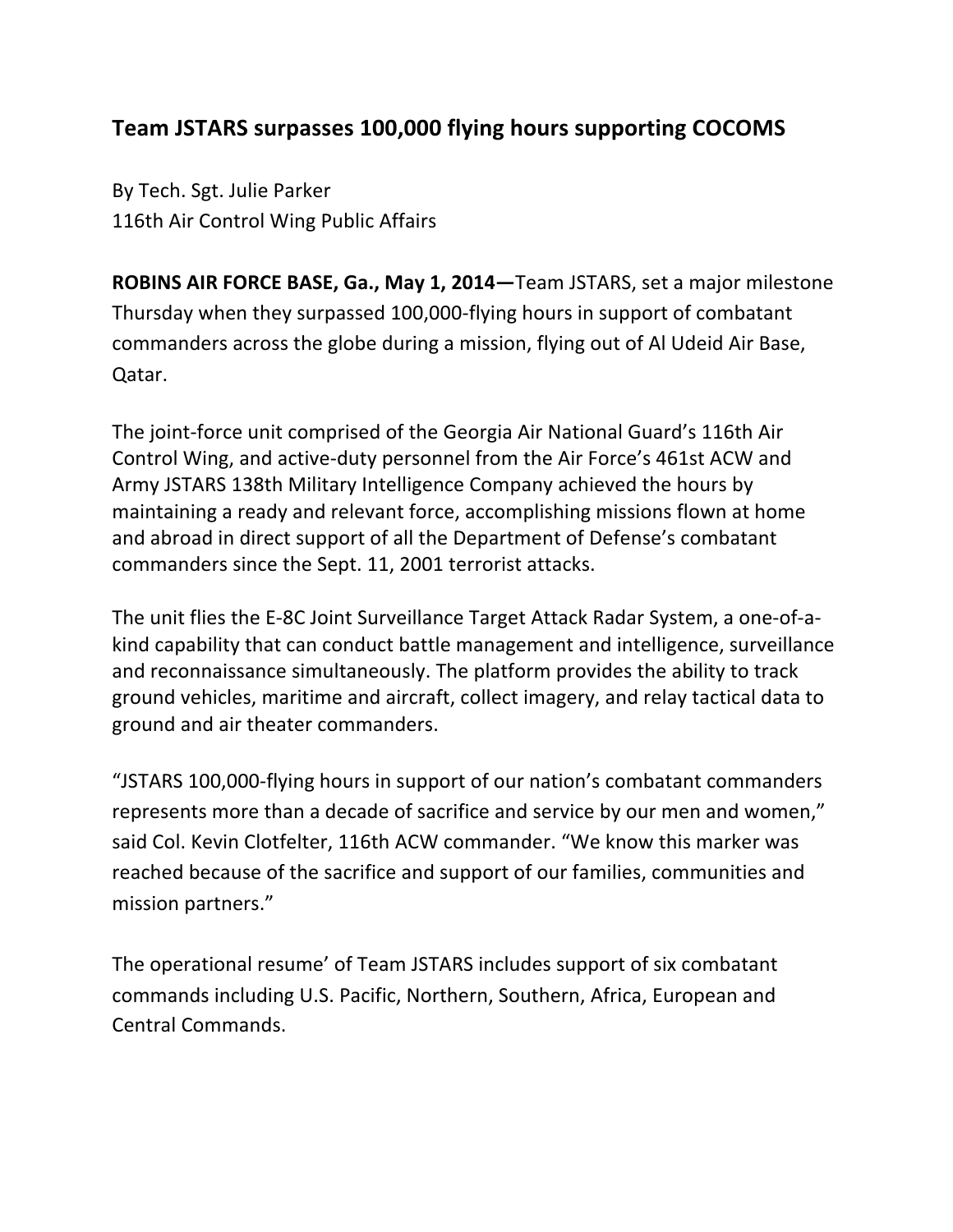## **Team JSTARS surpasses 100,000 flying hours supporting COCOMS**

By Tech. Sgt. Julie Parker 116th Air Control Wing Public Affairs

**ROBINS AIR FORCE BASE, Ga., May 1, 2014**—Team JSTARS, set a major milestone Thursday when they surpassed 100,000-flying hours in support of combatant commanders across the globe during a mission, flying out of Al Udeid Air Base, Qatar.

The joint-force unit comprised of the Georgia Air National Guard's 116th Air Control Wing, and active-duty personnel from the Air Force's 461st ACW and Army JSTARS 138th Military Intelligence Company achieved the hours by maintaining a ready and relevant force, accomplishing missions flown at home and abroad in direct support of all the Department of Defense's combatant commanders since the Sept. 11, 2001 terrorist attacks.

The unit flies the E-8C Joint Surveillance Target Attack Radar System, a one-of-akind capability that can conduct battle management and intelligence, surveillance and reconnaissance simultaneously. The platform provides the ability to track ground vehicles, maritime and aircraft, collect imagery, and relay tactical data to ground and air theater commanders.

"JSTARS 100,000-flying hours in support of our nation's combatant commanders represents more than a decade of sacrifice and service by our men and women," said Col. Kevin Clotfelter, 116th ACW commander. "We know this marker was reached because of the sacrifice and support of our families, communities and mission partners."

The operational resume' of Team JSTARS includes support of six combatant commands including U.S. Pacific, Northern, Southern, Africa, European and Central Commands.